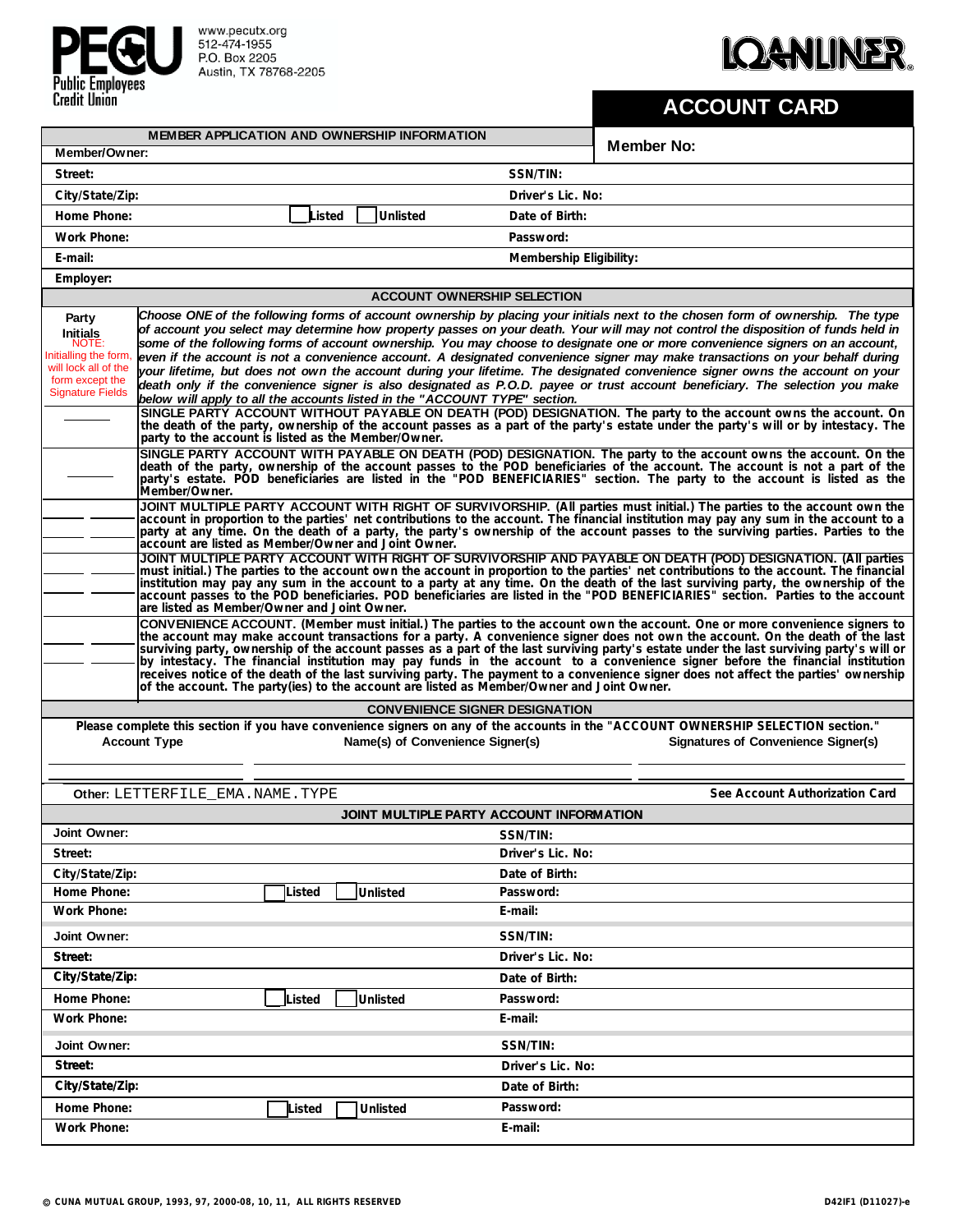

www.pecutx.org<br>512-474-1955<br>P.O. Box 2205<br>Austin, TX 78768-2205

## **IQANLINER.**

## **ACCOUNT CARD**

| MEMBER APPLICATION AND OWNERSHIP INFORMATION                                                                                                                                                                                        |                                                                                                                                                                                                                                                                                                                                                                                                                                                                                                                                                                                                                                                                                                                                                                                                                                                                                                                                                                                                           |        |        |                 |          |                   |                                          | <b>Member No:</b>                                                                                                                                                                                                                                                                                                                                                                                    |  |  |  |
|-------------------------------------------------------------------------------------------------------------------------------------------------------------------------------------------------------------------------------------|-----------------------------------------------------------------------------------------------------------------------------------------------------------------------------------------------------------------------------------------------------------------------------------------------------------------------------------------------------------------------------------------------------------------------------------------------------------------------------------------------------------------------------------------------------------------------------------------------------------------------------------------------------------------------------------------------------------------------------------------------------------------------------------------------------------------------------------------------------------------------------------------------------------------------------------------------------------------------------------------------------------|--------|--------|-----------------|----------|-------------------|------------------------------------------|------------------------------------------------------------------------------------------------------------------------------------------------------------------------------------------------------------------------------------------------------------------------------------------------------------------------------------------------------------------------------------------------------|--|--|--|
| Member/Owner:                                                                                                                                                                                                                       |                                                                                                                                                                                                                                                                                                                                                                                                                                                                                                                                                                                                                                                                                                                                                                                                                                                                                                                                                                                                           |        |        |                 |          |                   |                                          |                                                                                                                                                                                                                                                                                                                                                                                                      |  |  |  |
| Street:                                                                                                                                                                                                                             |                                                                                                                                                                                                                                                                                                                                                                                                                                                                                                                                                                                                                                                                                                                                                                                                                                                                                                                                                                                                           |        |        |                 |          |                   | SSN/TIN:                                 |                                                                                                                                                                                                                                                                                                                                                                                                      |  |  |  |
| City/State/Zip:                                                                                                                                                                                                                     |                                                                                                                                                                                                                                                                                                                                                                                                                                                                                                                                                                                                                                                                                                                                                                                                                                                                                                                                                                                                           |        |        |                 |          |                   | Driver's Lic. No:                        |                                                                                                                                                                                                                                                                                                                                                                                                      |  |  |  |
| Home Phone:                                                                                                                                                                                                                         |                                                                                                                                                                                                                                                                                                                                                                                                                                                                                                                                                                                                                                                                                                                                                                                                                                                                                                                                                                                                           |        | .isted |                 | Unlisted |                   | Date of Birth:                           |                                                                                                                                                                                                                                                                                                                                                                                                      |  |  |  |
| Work Phone:                                                                                                                                                                                                                         |                                                                                                                                                                                                                                                                                                                                                                                                                                                                                                                                                                                                                                                                                                                                                                                                                                                                                                                                                                                                           |        |        |                 |          |                   | Password:                                |                                                                                                                                                                                                                                                                                                                                                                                                      |  |  |  |
| E-mail:                                                                                                                                                                                                                             |                                                                                                                                                                                                                                                                                                                                                                                                                                                                                                                                                                                                                                                                                                                                                                                                                                                                                                                                                                                                           |        |        |                 |          |                   | Membership Eligibility:                  |                                                                                                                                                                                                                                                                                                                                                                                                      |  |  |  |
| Employer:<br><b>ACCOUNT OWNERSHIP SELECTION</b>                                                                                                                                                                                     |                                                                                                                                                                                                                                                                                                                                                                                                                                                                                                                                                                                                                                                                                                                                                                                                                                                                                                                                                                                                           |        |        |                 |          |                   |                                          |                                                                                                                                                                                                                                                                                                                                                                                                      |  |  |  |
| Choose ONE of the following forms of account ownership by placing your initials next to the chosen form of ownership. The type<br>Party                                                                                             |                                                                                                                                                                                                                                                                                                                                                                                                                                                                                                                                                                                                                                                                                                                                                                                                                                                                                                                                                                                                           |        |        |                 |          |                   |                                          |                                                                                                                                                                                                                                                                                                                                                                                                      |  |  |  |
| <b>Initials</b><br>NOTE:<br>Initialling the form,<br>will lock all of the<br>form except the<br><b>Signature Fields</b>                                                                                                             | of account you select may determine how property passes on your death. Your will may not control the disposition of funds held in<br>some of the following forms of account ownership. You may choose to designate one or more convenience signers on an account,<br>even if the account is not a convenience account. A designated convenience signer may make transactions on your behalf during<br>your lifetime, but does not own the account during your lifetime. The designated convenience signer owns the account on your<br>death only if the convenience signer is also designated as P.O.D. payee or trust account beneficiary. The selection you make<br>below will apply to all the accounts listed in the "ACCOUNT TYPE" section.<br>SINGLE PARTY ACCOUNT WITHOUT PAYABLE ON DEATH (POD) DESIGNATION. The party to the account owns the account. On<br>the death of the party, ownership of the account passes as a part of the party's estate under the party's will or by intestacy. The |        |        |                 |          |                   |                                          |                                                                                                                                                                                                                                                                                                                                                                                                      |  |  |  |
|                                                                                                                                                                                                                                     | party to the account is listed as the Member/Owner.<br>SINGLE PARTY ACCOUNT WITH PAYABLE ON DEATH (POD) DESIGNATION. The party to the account owns the account. On the<br>death of the party, ownership of the account passes to the POD beneficiaries of the account. The account is not a part of the<br>party's estate. POD beneficiaries are listed in the "POD BENEFICIARIES" section. The party to the account is listed as the<br>Member/Owner.                                                                                                                                                                                                                                                                                                                                                                                                                                                                                                                                                    |        |        |                 |          |                   |                                          |                                                                                                                                                                                                                                                                                                                                                                                                      |  |  |  |
|                                                                                                                                                                                                                                     | account are listed as Member/Owner and Joint Owner.                                                                                                                                                                                                                                                                                                                                                                                                                                                                                                                                                                                                                                                                                                                                                                                                                                                                                                                                                       |        |        |                 |          |                   |                                          | JOINT MULTIPLE PARTY ACCOUNT WITH RIGHT OF SURVIVORSHIP. (All parties must initial.) The parties to the account own the<br>account in proportion to the parties' net contributions to the account. The financial institution may pay any sum in the account to a<br>party at any time. On the death of a party, the party's ownership of the account passes to the surviving parties. Parties to the |  |  |  |
|                                                                                                                                                                                                                                     | JOINT MULTIPLE PARTY ACCOUNT WITH RIGHT OF SURVIVORSHIP AND PAYABLE ON DEATH (POD) DESIGNATION. (All parties<br>must initial.) The parties to the account own the account in proportion to the parties' net contributions to the account. The financial<br>institution may pay any sum in the account to a party at any time. On the death of the last surviving party, the ownership of the<br>account passes to the POD beneficiaries. POD beneficiaries are listed in the "POD BENEFICIARIES" section. Parties to the account<br>are listed as Member/Owner and Joint Owner.                                                                                                                                                                                                                                                                                                                                                                                                                           |        |        |                 |          |                   |                                          |                                                                                                                                                                                                                                                                                                                                                                                                      |  |  |  |
|                                                                                                                                                                                                                                     | CONVENIENCE ACCOUNT. (Member must initial.) The parties to the account own the account. One or more convenience signers to<br>the account may make account transactions for a party. A convenience signer does not own the account. On the death of the last<br>surviving party, ownership of the account passes as a part of the last surviving party's estate under the last surviving party's will or<br>by intestacy. The financial institution may pay funds in the account to a convenience signer before the financial institution<br>receives notice of the death of the last surviving party. The payment to a convenience signer does not affect the parties' ownership<br>of the account. The party(ies) to the account are listed as Member/Owner and Joint Owner.                                                                                                                                                                                                                            |        |        |                 |          |                   |                                          |                                                                                                                                                                                                                                                                                                                                                                                                      |  |  |  |
| <b>CONVENIENCE SIGNER DESIGNATION</b>                                                                                                                                                                                               |                                                                                                                                                                                                                                                                                                                                                                                                                                                                                                                                                                                                                                                                                                                                                                                                                                                                                                                                                                                                           |        |        |                 |          |                   |                                          |                                                                                                                                                                                                                                                                                                                                                                                                      |  |  |  |
| Please complete this section if you have convenience signers on any of the accounts in the "ACCOUNT OWNERSHIP SELECTION section."<br><b>Account Type</b><br>Name(s) of Convenience Signer(s)<br>Signatures of Convenience Signer(s) |                                                                                                                                                                                                                                                                                                                                                                                                                                                                                                                                                                                                                                                                                                                                                                                                                                                                                                                                                                                                           |        |        |                 |          |                   |                                          |                                                                                                                                                                                                                                                                                                                                                                                                      |  |  |  |
|                                                                                                                                                                                                                                     | Other: LETTERFILE EMA.NAME.TYPE                                                                                                                                                                                                                                                                                                                                                                                                                                                                                                                                                                                                                                                                                                                                                                                                                                                                                                                                                                           |        |        |                 |          |                   |                                          | See Account Authorization Card                                                                                                                                                                                                                                                                                                                                                                       |  |  |  |
|                                                                                                                                                                                                                                     |                                                                                                                                                                                                                                                                                                                                                                                                                                                                                                                                                                                                                                                                                                                                                                                                                                                                                                                                                                                                           |        |        |                 |          |                   | JOINT MULTIPLE PARTY ACCOUNT INFORMATION |                                                                                                                                                                                                                                                                                                                                                                                                      |  |  |  |
| Joint Owner:                                                                                                                                                                                                                        |                                                                                                                                                                                                                                                                                                                                                                                                                                                                                                                                                                                                                                                                                                                                                                                                                                                                                                                                                                                                           |        |        |                 |          |                   | SSN/TIN:                                 |                                                                                                                                                                                                                                                                                                                                                                                                      |  |  |  |
| Street:                                                                                                                                                                                                                             |                                                                                                                                                                                                                                                                                                                                                                                                                                                                                                                                                                                                                                                                                                                                                                                                                                                                                                                                                                                                           |        |        |                 |          |                   | Driver's Lic. No:                        |                                                                                                                                                                                                                                                                                                                                                                                                      |  |  |  |
| City/State/Zip:                                                                                                                                                                                                                     |                                                                                                                                                                                                                                                                                                                                                                                                                                                                                                                                                                                                                                                                                                                                                                                                                                                                                                                                                                                                           |        |        |                 |          |                   | Date of Birth:                           |                                                                                                                                                                                                                                                                                                                                                                                                      |  |  |  |
| Home Phone:                                                                                                                                                                                                                         |                                                                                                                                                                                                                                                                                                                                                                                                                                                                                                                                                                                                                                                                                                                                                                                                                                                                                                                                                                                                           | Listed |        | Unlisted        |          |                   | Password:                                |                                                                                                                                                                                                                                                                                                                                                                                                      |  |  |  |
| Work Phone:                                                                                                                                                                                                                         |                                                                                                                                                                                                                                                                                                                                                                                                                                                                                                                                                                                                                                                                                                                                                                                                                                                                                                                                                                                                           |        |        |                 |          |                   | E-mail:                                  |                                                                                                                                                                                                                                                                                                                                                                                                      |  |  |  |
| Joint Owner:                                                                                                                                                                                                                        |                                                                                                                                                                                                                                                                                                                                                                                                                                                                                                                                                                                                                                                                                                                                                                                                                                                                                                                                                                                                           |        |        |                 |          |                   | SSN/TIN:                                 |                                                                                                                                                                                                                                                                                                                                                                                                      |  |  |  |
| Street:                                                                                                                                                                                                                             |                                                                                                                                                                                                                                                                                                                                                                                                                                                                                                                                                                                                                                                                                                                                                                                                                                                                                                                                                                                                           |        |        |                 |          |                   | Driver's Lic. No:                        |                                                                                                                                                                                                                                                                                                                                                                                                      |  |  |  |
| City/State/Zip:                                                                                                                                                                                                                     |                                                                                                                                                                                                                                                                                                                                                                                                                                                                                                                                                                                                                                                                                                                                                                                                                                                                                                                                                                                                           |        |        |                 |          |                   | Date of Birth:                           |                                                                                                                                                                                                                                                                                                                                                                                                      |  |  |  |
| Home Phone:                                                                                                                                                                                                                         |                                                                                                                                                                                                                                                                                                                                                                                                                                                                                                                                                                                                                                                                                                                                                                                                                                                                                                                                                                                                           | Listed |        | <b>Unlisted</b> |          |                   | Password:                                |                                                                                                                                                                                                                                                                                                                                                                                                      |  |  |  |
| Work Phone:                                                                                                                                                                                                                         |                                                                                                                                                                                                                                                                                                                                                                                                                                                                                                                                                                                                                                                                                                                                                                                                                                                                                                                                                                                                           |        |        |                 |          |                   | E-mail:                                  |                                                                                                                                                                                                                                                                                                                                                                                                      |  |  |  |
| Joint Owner:                                                                                                                                                                                                                        |                                                                                                                                                                                                                                                                                                                                                                                                                                                                                                                                                                                                                                                                                                                                                                                                                                                                                                                                                                                                           |        |        |                 |          |                   | SSN/TIN:                                 |                                                                                                                                                                                                                                                                                                                                                                                                      |  |  |  |
| Street:                                                                                                                                                                                                                             |                                                                                                                                                                                                                                                                                                                                                                                                                                                                                                                                                                                                                                                                                                                                                                                                                                                                                                                                                                                                           |        |        |                 |          | Driver's Lic. No: |                                          |                                                                                                                                                                                                                                                                                                                                                                                                      |  |  |  |
| City/State/Zip:                                                                                                                                                                                                                     |                                                                                                                                                                                                                                                                                                                                                                                                                                                                                                                                                                                                                                                                                                                                                                                                                                                                                                                                                                                                           |        |        |                 |          |                   | Date of Birth:                           |                                                                                                                                                                                                                                                                                                                                                                                                      |  |  |  |
| Home Phone:                                                                                                                                                                                                                         |                                                                                                                                                                                                                                                                                                                                                                                                                                                                                                                                                                                                                                                                                                                                                                                                                                                                                                                                                                                                           | Listed |        | Unlisted        |          |                   | Password:                                |                                                                                                                                                                                                                                                                                                                                                                                                      |  |  |  |
| Work Phone:                                                                                                                                                                                                                         |                                                                                                                                                                                                                                                                                                                                                                                                                                                                                                                                                                                                                                                                                                                                                                                                                                                                                                                                                                                                           |        |        |                 |          |                   | E-mail:                                  |                                                                                                                                                                                                                                                                                                                                                                                                      |  |  |  |